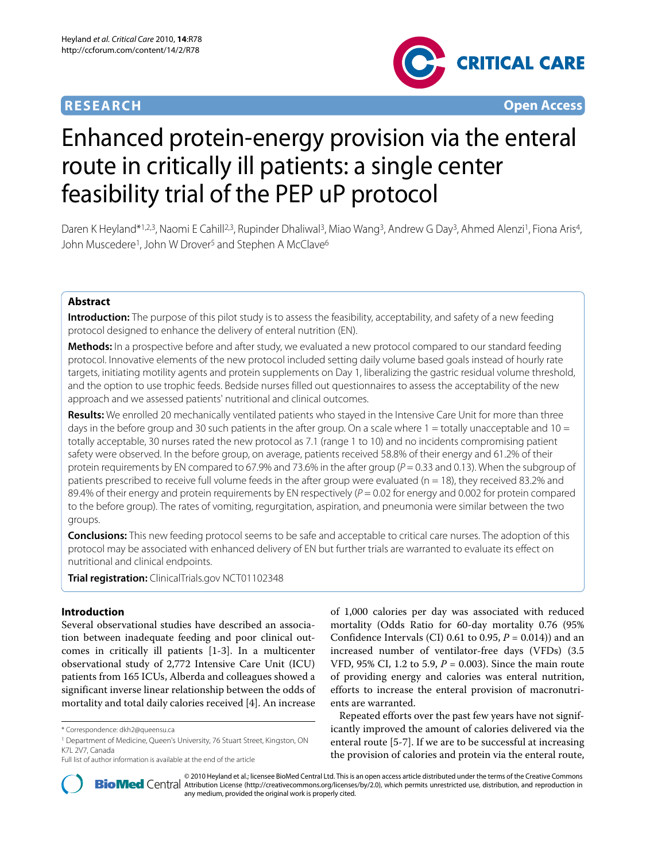

**RESEARCH Open Access**

# Enhanced protein-energy provision via the enteral route in critically ill patients: a single center feasibility trial of the PEP uP protocol

Daren K Heyland\*1,2,3, Naomi E Cahill<sup>2,3</sup>, Rupinder Dhaliwal<sup>3</sup>, Miao Wang<sup>3</sup>, Andrew G Day<sup>3</sup>, Ahmed Alenzi<sup>1</sup>, Fiona Aris<sup>4</sup>, John Muscedere<sup>1</sup>, John W Drover<sup>5</sup> and Stephen A McClave<sup>6</sup>

# **Abstract**

**Introduction:** The purpose of this pilot study is to assess the feasibility, acceptability, and safety of a new feeding protocol designed to enhance the delivery of enteral nutrition (EN).

**Methods:** In a prospective before and after study, we evaluated a new protocol compared to our standard feeding protocol. Innovative elements of the new protocol included setting daily volume based goals instead of hourly rate targets, initiating motility agents and protein supplements on Day 1, liberalizing the gastric residual volume threshold, and the option to use trophic feeds. Bedside nurses filled out questionnaires to assess the acceptability of the new approach and we assessed patients' nutritional and clinical outcomes.

**Results:** We enrolled 20 mechanically ventilated patients who stayed in the Intensive Care Unit for more than three days in the before group and 30 such patients in the after group. On a scale where  $1 =$  totally unacceptable and  $10 =$ totally acceptable, 30 nurses rated the new protocol as 7.1 (range 1 to 10) and no incidents compromising patient safety were observed. In the before group, on average, patients received 58.8% of their energy and 61.2% of their protein requirements by EN compared to 67.9% and 73.6% in the after group ( $P = 0.33$  and 0.13). When the subgroup of patients prescribed to receive full volume feeds in the after group were evaluated ( $n = 18$ ), they received 83.2% and 89.4% of their energy and protein requirements by EN respectively ( $P = 0.02$  for energy and 0.002 for protein compared to the before group). The rates of vomiting, regurgitation, aspiration, and pneumonia were similar between the two groups.

**Conclusions:** This new feeding protocol seems to be safe and acceptable to critical care nurses. The adoption of this protocol may be associated with enhanced delivery of EN but further trials are warranted to evaluate its effect on nutritional and clinical endpoints.

**Trial registration:** ClinicalTrials.gov NCT01102348

# **Introduction**

Several observational studies have described an association between inadequate feeding and poor clinical outcomes in critically ill patients [[1](#page-10-0)-[3\]](#page-11-0). In a multicenter observational study of 2,772 Intensive Care Unit (ICU) patients from 165 ICUs, Alberda and colleagues showed a significant inverse linear relationship between the odds of mortality and total daily calories received [[4\]](#page-11-1). An increase

of 1,000 calories per day was associated with reduced mortality (Odds Ratio for 60-day mortality 0.76 (95% Confidence Intervals (CI) 0.61 to 0.95, *P* = 0.014)) and an increased number of ventilator-free days (VFDs) (3.5 VFD, 95% CI, 1.2 to 5.9, *P* = 0.003). Since the main route of providing energy and calories was enteral nutrition, efforts to increase the enteral provision of macronutrients are warranted.

Repeated efforts over the past few years have not significantly improved the amount of calories delivered via the enteral route [[5](#page-11-2)[-7](#page-11-3)]. If we are to be successful at increasing the provision of calories and protein via the enteral route,



2010 Heyland et al.; licensee [BioMed](http://www.biomedcentral.com/) Central Ltd. This is an open access article distributed under the terms of the Creative Commons (http://creativecommons.org/licenses/by/2.0), which permits unrestricted use, distributio any medium, provided the original work is properly cited.

<sup>\*</sup> Correspondence: dkh2@queensu.ca

<sup>1</sup> Department of Medicine, Queen's University, 76 Stuart Street, Kingston, ON K7L 2V7, Canada

Full list of author information is available at the end of the article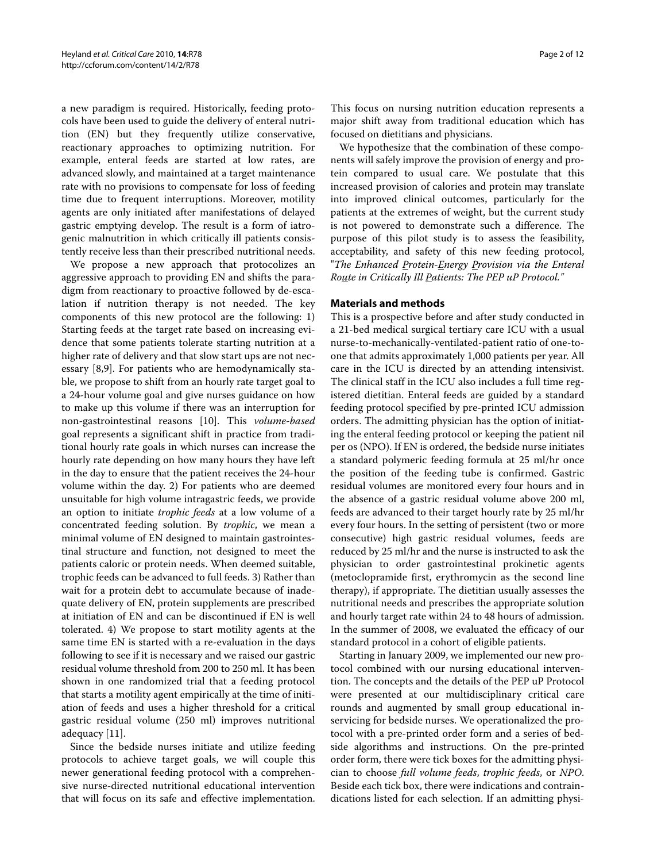a new paradigm is required. Historically, feeding protocols have been used to guide the delivery of enteral nutrition (EN) but they frequently utilize conservative, reactionary approaches to optimizing nutrition. For example, enteral feeds are started at low rates, are advanced slowly, and maintained at a target maintenance rate with no provisions to compensate for loss of feeding time due to frequent interruptions. Moreover, motility agents are only initiated after manifestations of delayed gastric emptying develop. The result is a form of iatrogenic malnutrition in which critically ill patients consistently receive less than their prescribed nutritional needs.

We propose a new approach that protocolizes an aggressive approach to providing EN and shifts the paradigm from reactionary to proactive followed by de-escalation if nutrition therapy is not needed. The key components of this new protocol are the following: 1) Starting feeds at the target rate based on increasing evidence that some patients tolerate starting nutrition at a higher rate of delivery and that slow start ups are not necessary [\[8](#page-11-4),[9](#page-11-5)]. For patients who are hemodynamically stable, we propose to shift from an hourly rate target goal to a 24-hour volume goal and give nurses guidance on how to make up this volume if there was an interruption for non-gastrointestinal reasons [\[10](#page-11-6)]. This *volume-based* goal represents a significant shift in practice from traditional hourly rate goals in which nurses can increase the hourly rate depending on how many hours they have left in the day to ensure that the patient receives the 24-hour volume within the day. 2) For patients who are deemed unsuitable for high volume intragastric feeds, we provide an option to initiate *trophic feeds* at a low volume of a concentrated feeding solution. By *trophic*, we mean a minimal volume of EN designed to maintain gastrointestinal structure and function, not designed to meet the patients caloric or protein needs. When deemed suitable, trophic feeds can be advanced to full feeds. 3) Rather than wait for a protein debt to accumulate because of inadequate delivery of EN, protein supplements are prescribed at initiation of EN and can be discontinued if EN is well tolerated. 4) We propose to start motility agents at the same time EN is started with a re-evaluation in the days following to see if it is necessary and we raised our gastric residual volume threshold from 200 to 250 ml. It has been shown in one randomized trial that a feeding protocol that starts a motility agent empirically at the time of initiation of feeds and uses a higher threshold for a critical gastric residual volume (250 ml) improves nutritional adequacy [[11\]](#page-11-7).

Since the bedside nurses initiate and utilize feeding protocols to achieve target goals, we will couple this newer generational feeding protocol with a comprehensive nurse-directed nutritional educational intervention that will focus on its safe and effective implementation.

This focus on nursing nutrition education represents a major shift away from traditional education which has focused on dietitians and physicians.

We hypothesize that the combination of these components will safely improve the provision of energy and protein compared to usual care. We postulate that this increased provision of calories and protein may translate into improved clinical outcomes, particularly for the patients at the extremes of weight, but the current study is not powered to demonstrate such a difference. The purpose of this pilot study is to assess the feasibility, acceptability, and safety of this new feeding protocol, "*The Enhanced Protein-Energy Provision via the Enteral Route in Critically Ill Patients: The PEP uP Protocol."*

#### **Materials and methods**

This is a prospective before and after study conducted in a 21-bed medical surgical tertiary care ICU with a usual nurse-to-mechanically-ventilated-patient ratio of one-toone that admits approximately 1,000 patients per year. All care in the ICU is directed by an attending intensivist. The clinical staff in the ICU also includes a full time registered dietitian. Enteral feeds are guided by a standard feeding protocol specified by pre-printed ICU admission orders. The admitting physician has the option of initiating the enteral feeding protocol or keeping the patient nil per os (NPO). If EN is ordered, the bedside nurse initiates a standard polymeric feeding formula at 25 ml/hr once the position of the feeding tube is confirmed. Gastric residual volumes are monitored every four hours and in the absence of a gastric residual volume above 200 ml, feeds are advanced to their target hourly rate by 25 ml/hr every four hours. In the setting of persistent (two or more consecutive) high gastric residual volumes, feeds are reduced by 25 ml/hr and the nurse is instructed to ask the physician to order gastrointestinal prokinetic agents (metoclopramide first, erythromycin as the second line therapy), if appropriate. The dietitian usually assesses the nutritional needs and prescribes the appropriate solution and hourly target rate within 24 to 48 hours of admission. In the summer of 2008, we evaluated the efficacy of our standard protocol in a cohort of eligible patients.

Starting in January 2009, we implemented our new protocol combined with our nursing educational intervention. The concepts and the details of the PEP uP Protocol were presented at our multidisciplinary critical care rounds and augmented by small group educational inservicing for bedside nurses. We operationalized the protocol with a pre-printed order form and a series of bedside algorithms and instructions. On the pre-printed order form, there were tick boxes for the admitting physician to choose *full volume feeds*, *trophic feeds*, or *NPO*. Beside each tick box, there were indications and contraindications listed for each selection. If an admitting physi-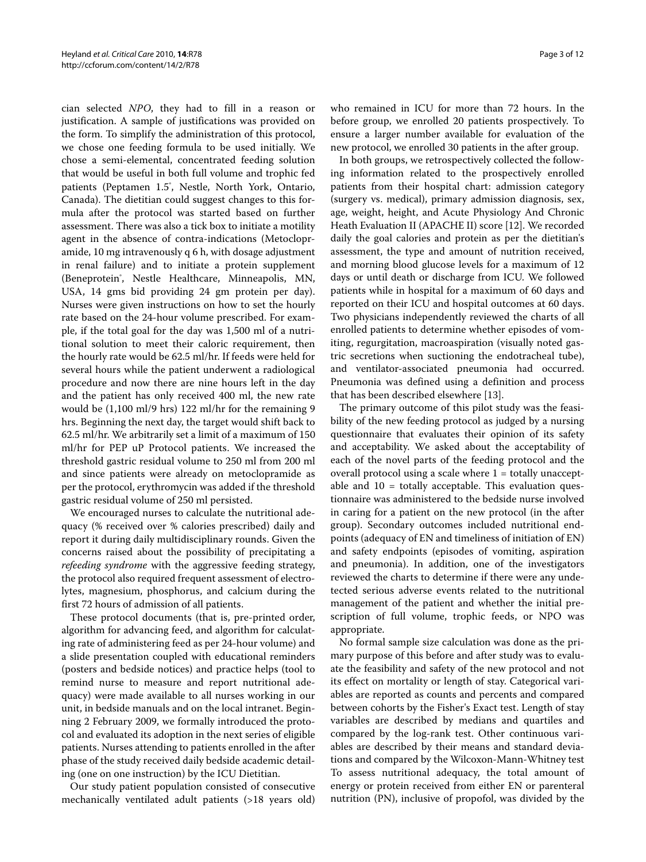cian selected *NPO*, they had to fill in a reason or justification. A sample of justifications was provided on the form. To simplify the administration of this protocol, we chose one feeding formula to be used initially. We chose a semi-elemental, concentrated feeding solution that would be useful in both full volume and trophic fed patients (Peptamen 1.5°, Nestle, North York, Ontario, Canada). The dietitian could suggest changes to this formula after the protocol was started based on further assessment. There was also a tick box to initiate a motility agent in the absence of contra-indications (Metoclopramide, 10 mg intravenously q 6 h, with dosage adjustment in renal failure) and to initiate a protein supplement (Beneprotein<sup>®</sup>, Nestle Healthcare, Minneapolis, MN, USA, 14 gms bid providing 24 gm protein per day). Nurses were given instructions on how to set the hourly rate based on the 24-hour volume prescribed. For example, if the total goal for the day was 1,500 ml of a nutritional solution to meet their caloric requirement, then the hourly rate would be 62.5 ml/hr. If feeds were held for several hours while the patient underwent a radiological procedure and now there are nine hours left in the day and the patient has only received 400 ml, the new rate would be (1,100 ml/9 hrs) 122 ml/hr for the remaining 9 hrs. Beginning the next day, the target would shift back to 62.5 ml/hr. We arbitrarily set a limit of a maximum of 150 ml/hr for PEP uP Protocol patients. We increased the threshold gastric residual volume to 250 ml from 200 ml and since patients were already on metoclopramide as per the protocol, erythromycin was added if the threshold gastric residual volume of 250 ml persisted.

We encouraged nurses to calculate the nutritional adequacy (% received over % calories prescribed) daily and report it during daily multidisciplinary rounds. Given the concerns raised about the possibility of precipitating a *refeeding syndrome* with the aggressive feeding strategy, the protocol also required frequent assessment of electrolytes, magnesium, phosphorus, and calcium during the first 72 hours of admission of all patients.

These protocol documents (that is, pre-printed order, algorithm for advancing feed, and algorithm for calculating rate of administering feed as per 24-hour volume) and a slide presentation coupled with educational reminders (posters and bedside notices) and practice helps (tool to remind nurse to measure and report nutritional adequacy) were made available to all nurses working in our unit, in bedside manuals and on the local intranet. Beginning 2 February 2009, we formally introduced the protocol and evaluated its adoption in the next series of eligible patients. Nurses attending to patients enrolled in the after phase of the study received daily bedside academic detailing (one on one instruction) by the ICU Dietitian.

Our study patient population consisted of consecutive mechanically ventilated adult patients (>18 years old)

who remained in ICU for more than 72 hours. In the before group, we enrolled 20 patients prospectively. To ensure a larger number available for evaluation of the new protocol, we enrolled 30 patients in the after group.

In both groups, we retrospectively collected the following information related to the prospectively enrolled patients from their hospital chart: admission category (surgery vs. medical), primary admission diagnosis, sex, age, weight, height, and Acute Physiology And Chronic Heath Evaluation II (APACHE II) score [[12\]](#page-11-8). We recorded daily the goal calories and protein as per the dietitian's assessment, the type and amount of nutrition received, and morning blood glucose levels for a maximum of 12 days or until death or discharge from ICU. We followed patients while in hospital for a maximum of 60 days and reported on their ICU and hospital outcomes at 60 days. Two physicians independently reviewed the charts of all enrolled patients to determine whether episodes of vomiting, regurgitation, macroaspiration (visually noted gastric secretions when suctioning the endotracheal tube), and ventilator-associated pneumonia had occurred. Pneumonia was defined using a definition and process that has been described elsewhere [\[13](#page-11-9)].

The primary outcome of this pilot study was the feasibility of the new feeding protocol as judged by a nursing questionnaire that evaluates their opinion of its safety and acceptability. We asked about the acceptability of each of the novel parts of the feeding protocol and the overall protocol using a scale where  $1 =$  totally unacceptable and  $10 =$  totally acceptable. This evaluation questionnaire was administered to the bedside nurse involved in caring for a patient on the new protocol (in the after group). Secondary outcomes included nutritional endpoints (adequacy of EN and timeliness of initiation of EN) and safety endpoints (episodes of vomiting, aspiration and pneumonia). In addition, one of the investigators reviewed the charts to determine if there were any undetected serious adverse events related to the nutritional management of the patient and whether the initial prescription of full volume, trophic feeds, or NPO was appropriate.

No formal sample size calculation was done as the primary purpose of this before and after study was to evaluate the feasibility and safety of the new protocol and not its effect on mortality or length of stay. Categorical variables are reported as counts and percents and compared between cohorts by the Fisher's Exact test. Length of stay variables are described by medians and quartiles and compared by the log-rank test. Other continuous variables are described by their means and standard deviations and compared by the Wilcoxon-Mann-Whitney test To assess nutritional adequacy, the total amount of energy or protein received from either EN or parenteral nutrition (PN), inclusive of propofol, was divided by the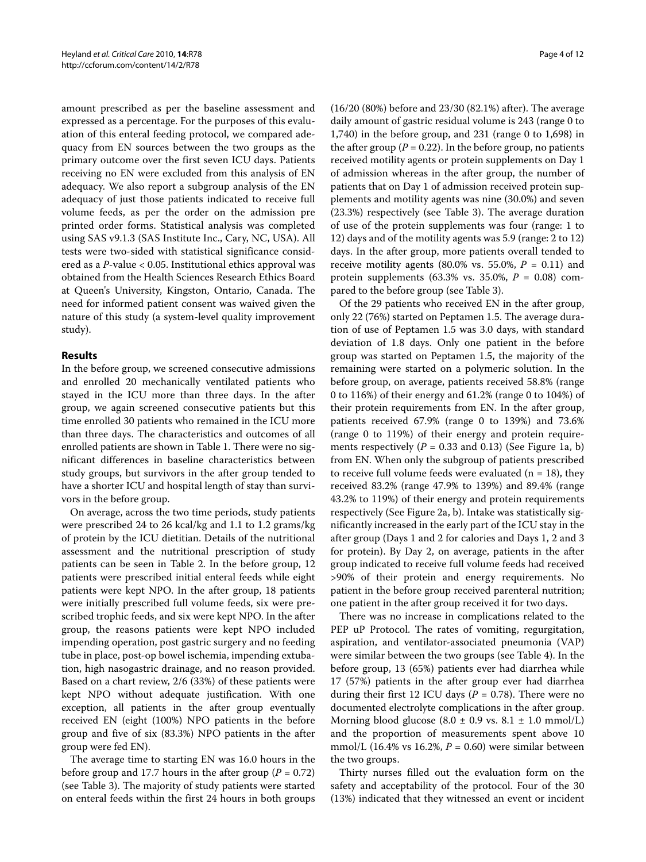amount prescribed as per the baseline assessment and expressed as a percentage. For the purposes of this evaluation of this enteral feeding protocol, we compared adequacy from EN sources between the two groups as the primary outcome over the first seven ICU days. Patients receiving no EN were excluded from this analysis of EN adequacy. We also report a subgroup analysis of the EN adequacy of just those patients indicated to receive full volume feeds, as per the order on the admission pre printed order forms. Statistical analysis was completed using SAS v9.1.3 (SAS Institute Inc., Cary, NC, USA). All tests were two-sided with statistical significance considered as a *P*-value < 0.05. Institutional ethics approval was obtained from the Health Sciences Research Ethics Board at Queen's University, Kingston, Ontario, Canada. The need for informed patient consent was waived given the nature of this study (a system-level quality improvement study).

# **Results**

In the before group, we screened consecutive admissions and enrolled 20 mechanically ventilated patients who stayed in the ICU more than three days. In the after group, we again screened consecutive patients but this time enrolled 30 patients who remained in the ICU more than three days. The characteristics and outcomes of all enrolled patients are shown in Table 1. There were no significant differences in baseline characteristics between study groups, but survivors in the after group tended to have a shorter ICU and hospital length of stay than survivors in the before group.

On average, across the two time periods, study patients were prescribed 24 to 26 kcal/kg and 1.1 to 1.2 grams/kg of protein by the ICU dietitian. Details of the nutritional assessment and the nutritional prescription of study patients can be seen in Table [2](#page-5-0). In the before group, 12 patients were prescribed initial enteral feeds while eight patients were kept NPO. In the after group, 18 patients were initially prescribed full volume feeds, six were prescribed trophic feeds, and six were kept NPO. In the after group, the reasons patients were kept NPO included impending operation, post gastric surgery and no feeding tube in place, post-op bowel ischemia, impending extubation, high nasogastric drainage, and no reason provided. Based on a chart review, 2/6 (33%) of these patients were kept NPO without adequate justification. With one exception, all patients in the after group eventually received EN (eight (100%) NPO patients in the before group and five of six (83.3%) NPO patients in the after group were fed EN).

The average time to starting EN was 16.0 hours in the before group and 17.7 hours in the after group  $(P = 0.72)$ (see Table 3). The majority of study patients were started on enteral feeds within the first 24 hours in both groups

(16/20 (80%) before and 23/30 (82.1%) after). The average daily amount of gastric residual volume is 243 (range 0 to 1,740) in the before group, and 231 (range 0 to 1,698) in the after group ( $P = 0.22$ ). In the before group, no patients received motility agents or protein supplements on Day 1 of admission whereas in the after group, the number of patients that on Day 1 of admission received protein supplements and motility agents was nine (30.0%) and seven (23.3%) respectively (see Table 3). The average duration of use of the protein supplements was four (range: 1 to 12) days and of the motility agents was 5.9 (range: 2 to 12) days. In the after group, more patients overall tended to receive motility agents (80.0% vs. 55.0%, *P* = 0.11) and protein supplements (63.3% vs. 35.0%, *P* = 0.08) compared to the before group (see Table 3).

Of the 29 patients who received EN in the after group, only 22 (76%) started on Peptamen 1.5. The average duration of use of Peptamen 1.5 was 3.0 days, with standard deviation of 1.8 days. Only one patient in the before group was started on Peptamen 1.5, the majority of the remaining were started on a polymeric solution. In the before group, on average, patients received 58.8% (range 0 to 116%) of their energy and 61.2% (range 0 to 104%) of their protein requirements from EN. In the after group, patients received 67.9% (range 0 to 139%) and 73.6% (range 0 to 119%) of their energy and protein requirements respectively  $(P = 0.33$  and 0.[1](#page-7-0)3) (See Figure 1a, b) from EN. When only the subgroup of patients prescribed to receive full volume feeds were evaluated ( $n = 18$ ), they received 83.2% (range 47.9% to 139%) and 89.4% (range 43.2% to 119%) of their energy and protein requirements respectively (See Figure [2](#page-8-0)a, b). Intake was statistically significantly increased in the early part of the ICU stay in the after group (Days 1 and 2 for calories and Days 1, 2 and 3 for protein). By Day 2, on average, patients in the after group indicated to receive full volume feeds had received >90% of their protein and energy requirements. No patient in the before group received parenteral nutrition; one patient in the after group received it for two days.

There was no increase in complications related to the PEP uP Protocol. The rates of vomiting, regurgitation, aspiration, and ventilator-associated pneumonia (VAP) were similar between the two groups (see Table [4](#page-9-0)). In the before group, 13 (65%) patients ever had diarrhea while 17 (57%) patients in the after group ever had diarrhea during their first 12 ICU days ( $P = 0.78$ ). There were no documented electrolyte complications in the after group. Morning blood glucose  $(8.0 \pm 0.9 \text{ vs. } 8.1 \pm 1.0 \text{ mmol/L})$ and the proportion of measurements spent above 10 mmol/L (16.4% vs 16.2%,  $P = 0.60$ ) were similar between the two groups.

Thirty nurses filled out the evaluation form on the safety and acceptability of the protocol. Four of the 30 (13%) indicated that they witnessed an event or incident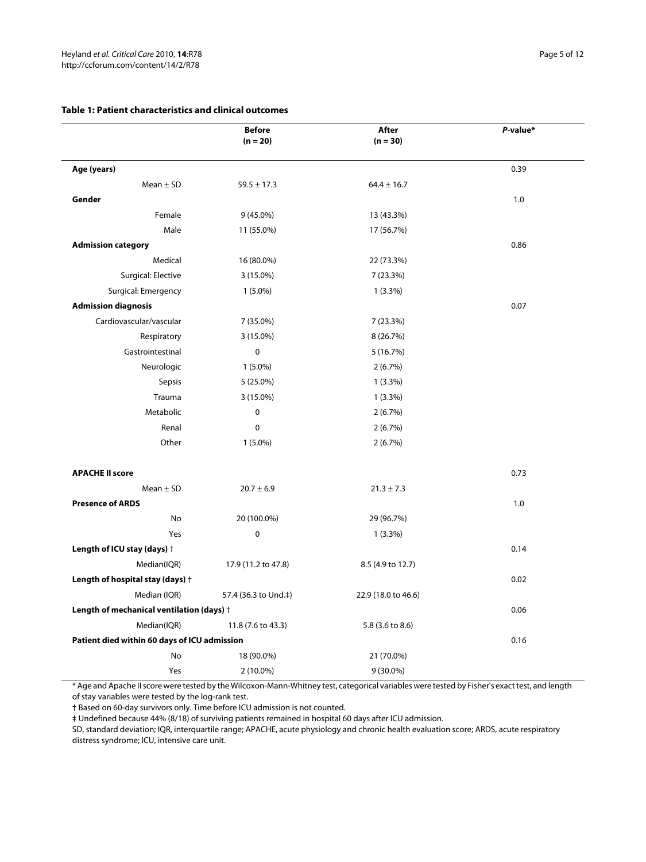# **Table 1: Patient characteristics and clinical outcomes**

|                                              | <b>Before</b><br>$(n = 20)$ | After<br>$(n = 30)$ | P-value* |
|----------------------------------------------|-----------------------------|---------------------|----------|
| Age (years)                                  |                             |                     | 0.39     |
| $Mean \pm SD$                                | $59.5 \pm 17.3$             | $64.4 \pm 16.7$     |          |
| Gender                                       |                             |                     | 1.0      |
| Female                                       | 9 (45.0%)                   | 13 (43.3%)          |          |
| Male                                         | 11 (55.0%)                  | 17 (56.7%)          |          |
| <b>Admission category</b>                    |                             |                     | 0.86     |
| Medical                                      | 16 (80.0%)                  | 22 (73.3%)          |          |
| Surgical: Elective                           | 3 (15.0%)                   | 7(23.3%)            |          |
| Surgical: Emergency                          | $1(5.0\%)$                  | $1(3.3\%)$          |          |
| <b>Admission diagnosis</b>                   |                             |                     | 0.07     |
| Cardiovascular/vascular                      | 7 (35.0%)                   | 7 (23.3%)           |          |
| Respiratory                                  | 3 (15.0%)                   | 8 (26.7%)           |          |
| Gastrointestinal                             | $\mathbf 0$                 | 5(16.7%)            |          |
| Neurologic                                   | $1(5.0\%)$                  | 2(6.7%)             |          |
| Sepsis                                       | 5 (25.0%)                   | $1(3.3\%)$          |          |
| Trauma                                       | 3 (15.0%)                   | $1(3.3\%)$          |          |
| Metabolic                                    | 0                           | 2(6.7%)             |          |
| Renal                                        | 0                           | 2(6.7%)             |          |
| Other                                        | $1(5.0\%)$                  | 2(6.7%)             |          |
| <b>APACHE II score</b>                       |                             |                     | 0.73     |
| Mean $\pm$ SD                                | $20.7 \pm 6.9$              | $21.3 \pm 7.3$      |          |
| <b>Presence of ARDS</b>                      |                             |                     | 1.0      |
| <b>No</b>                                    | 20 (100.0%)                 | 29 (96.7%)          |          |
| Yes                                          | $\pmb{0}$                   | $1(3.3\%)$          |          |
| Length of ICU stay (days) +                  |                             |                     | 0.14     |
| Median(IQR)                                  | 17.9 (11.2 to 47.8)         | 8.5 (4.9 to 12.7)   |          |
| Length of hospital stay (days) +             |                             |                     | 0.02     |
| Median (IQR)                                 | 57.4 (36.3 to Und.‡)        | 22.9 (18.0 to 46.6) |          |
| Length of mechanical ventilation (days) +    |                             |                     | 0.06     |
| Median(IQR)                                  | 11.8 (7.6 to 43.3)          | 5.8 (3.6 to 8.6)    |          |
| Patient died within 60 days of ICU admission |                             |                     | 0.16     |
| No                                           | 18 (90.0%)                  | 21 (70.0%)          |          |
| Yes                                          | 2 (10.0%)                   | 9 (30.0%)           |          |

\* Age and Apache II score were tested by the Wilcoxon-Mann-Whitney test, categorical variables were tested by Fisher's exact test, and length of stay variables were tested by the log-rank test.

† Based on 60-day survivors only. Time before ICU admission is not counted.

‡ Undefined because 44% (8/18) of surviving patients remained in hospital 60 days after ICU admission.

SD, standard deviation; IQR, interquartile range; APACHE, acute physiology and chronic health evaluation score; ARDS, acute respiratory distress syndrome; ICU, intensive care unit.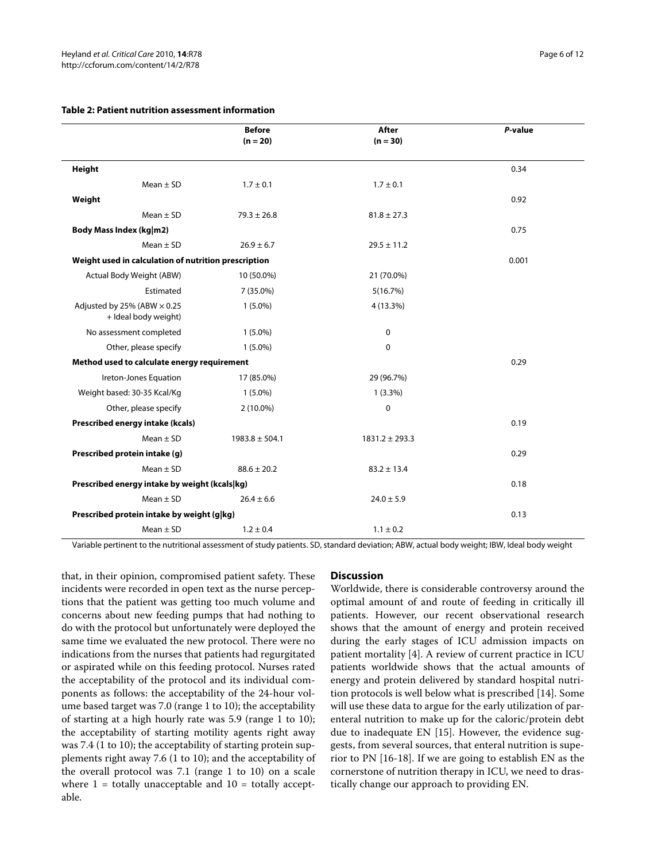### <span id="page-5-0"></span>**Table 2: Patient nutrition assessment information**

|                                                            | <b>Before</b>      | After              | P-value |
|------------------------------------------------------------|--------------------|--------------------|---------|
|                                                            | $(n = 20)$         | $(n = 30)$         |         |
| Height                                                     |                    |                    | 0.34    |
| Mean $\pm$ SD                                              | $1.7 \pm 0.1$      | $1.7 \pm 0.1$      |         |
| Weight                                                     |                    |                    | 0.92    |
| $Mean \pm SD$                                              | $79.3 \pm 26.8$    | $81.8 \pm 27.3$    |         |
| Body Mass Index (kg m2)                                    |                    | 0.75               |         |
| Mean $\pm$ SD                                              | $26.9 \pm 6.7$     | $29.5 \pm 11.2$    |         |
| Weight used in calculation of nutrition prescription       | 0.001              |                    |         |
| Actual Body Weight (ABW)                                   | 10 (50.0%)         | 21 (70.0%)         |         |
| Estimated                                                  | 7 (35.0%)          | 5(16.7%)           |         |
| Adjusted by 25% (ABW $\times$ 0.25<br>+ Ideal body weight) | $1(5.0\%)$         | 4 (13.3%)          |         |
| No assessment completed                                    | $1(5.0\%)$         | 0                  |         |
| Other, please specify                                      | $1(5.0\%)$         | 0                  |         |
| Method used to calculate energy requirement                | 0.29               |                    |         |
| Ireton-Jones Equation                                      | 17 (85.0%)         | 29 (96.7%)         |         |
| Weight based: 30-35 Kcal/Kg                                | $1(5.0\%)$         | $1(3.3\%)$         |         |
| Other, please specify                                      | 2 (10.0%)          | $\mathbf 0$        |         |
| Prescribed energy intake (kcals)                           | 0.19               |                    |         |
| Mean $\pm$ SD                                              | $1983.8 \pm 504.1$ | $1831.2 \pm 293.3$ |         |
| Prescribed protein intake (g)                              |                    |                    | 0.29    |
| $Mean \pm SD$                                              | $88.6 \pm 20.2$    | $83.2 \pm 13.4$    |         |
| Prescribed energy intake by weight (kcals kg)              | 0.18               |                    |         |
| Mean $\pm$ SD                                              | $26.4 \pm 6.6$     | $24.0 \pm 5.9$     |         |
| Prescribed protein intake by weight (g kg)                 | 0.13               |                    |         |
| $Mean \pm SD$                                              | $1.2 \pm 0.4$      | $1.1 \pm 0.2$      |         |

Variable pertinent to the nutritional assessment of study patients. SD, standard deviation; ABW, actual body weight; IBW, Ideal body weight

that, in their opinion, compromised patient safety. These incidents were recorded in open text as the nurse perceptions that the patient was getting too much volume and concerns about new feeding pumps that had nothing to do with the protocol but unfortunately were deployed the same time we evaluated the new protocol. There were no indications from the nurses that patients had regurgitated or aspirated while on this feeding protocol. Nurses rated the acceptability of the protocol and its individual components as follows: the acceptability of the 24-hour volume based target was 7.0 (range 1 to 10); the acceptability of starting at a high hourly rate was 5.9 (range 1 to 10); the acceptability of starting motility agents right away was 7.4 (1 to 10); the acceptability of starting protein supplements right away 7.6 (1 to 10); and the acceptability of the overall protocol was 7.1 (range 1 to 10) on a scale where  $1 =$  totally unacceptable and  $10 =$  totally acceptable.

# **Discussion**

Worldwide, there is considerable controversy around the optimal amount of and route of feeding in critically ill patients. However, our recent observational research shows that the amount of energy and protein received during the early stages of ICU admission impacts on patient mortality [[4](#page-11-1)]. A review of current practice in ICU patients worldwide shows that the actual amounts of energy and protein delivered by standard hospital nutrition protocols is well below what is prescribed [[14\]](#page-11-10). Some will use these data to argue for the early utilization of parenteral nutrition to make up for the caloric/protein debt due to inadequate EN [[15\]](#page-11-11). However, the evidence suggests, from several sources, that enteral nutrition is superior to PN [\[16-](#page-11-12)[18](#page-11-13)]. If we are going to establish EN as the cornerstone of nutrition therapy in ICU, we need to drastically change our approach to providing EN.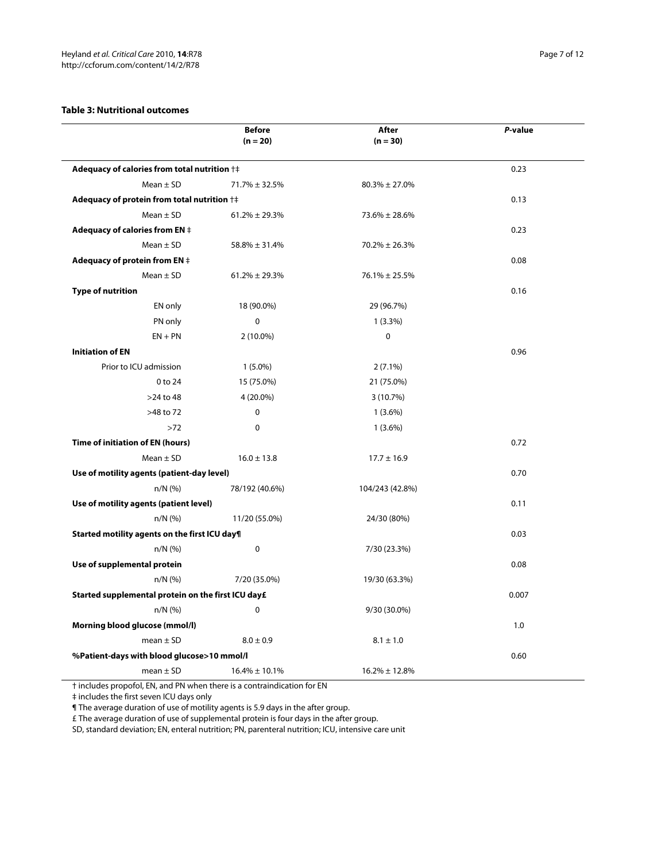|                                                       | <b>Before</b><br>$(n = 20)$ | After<br>$(n = 30)$ | P-value |
|-------------------------------------------------------|-----------------------------|---------------------|---------|
| Adequacy of calories from total nutrition $\dag\ddag$ |                             |                     | 0.23    |
| Mean $\pm$ SD                                         | $71.7\% \pm 32.5\%$         | $80.3\% \pm 27.0\%$ |         |
| Adequacy of protein from total nutrition $\dag\ddag$  |                             |                     | 0.13    |
| Mean $\pm$ SD                                         | $61.2\% \pm 29.3\%$         | $73.6\% \pm 28.6\%$ |         |
| Adequacy of calories from EN ‡                        |                             |                     | 0.23    |
| Mean $\pm$ SD                                         | $58.8\% \pm 31.4\%$         | $70.2\% \pm 26.3\%$ |         |
| Adequacy of protein from EN ‡                         |                             |                     | 0.08    |
| Mean $\pm$ SD                                         | $61.2\% \pm 29.3\%$         | $76.1\% \pm 25.5\%$ |         |
| <b>Type of nutrition</b>                              |                             |                     | 0.16    |
| EN only                                               | 18 (90.0%)                  | 29 (96.7%)          |         |
| PN only                                               | $\mathbf 0$                 | $1(3.3\%)$          |         |
| $EN + PN$                                             | $2(10.0\%)$                 | $\mathbf 0$         |         |
| <b>Initiation of EN</b>                               | 0.96                        |                     |         |
| Prior to ICU admission                                | $1(5.0\%)$                  | $2(7.1\%)$          |         |
| 0 to 24                                               | 15 (75.0%)                  | 21 (75.0%)          |         |
| $>24$ to $48$                                         | 4 (20.0%)                   | 3 (10.7%)           |         |
| >48 to 72                                             | 0                           | $1(3.6\%)$          |         |
| $>72$                                                 | $\mathbf 0$                 | $1(3.6\%)$          |         |
| Time of initiation of EN (hours)                      |                             |                     | 0.72    |
| Mean $\pm$ SD                                         | $16.0 \pm 13.8$             | $17.7 \pm 16.9$     |         |
| Use of motility agents (patient-day level)            |                             |                     | 0.70    |
| $n/N$ (%)                                             | 78/192 (40.6%)              | 104/243 (42.8%)     |         |
| Use of motility agents (patient level)                |                             |                     | 0.11    |
| n/N (%)                                               | 11/20 (55.0%)               | 24/30 (80%)         |         |
| Started motility agents on the first ICU day¶         |                             |                     | 0.03    |
| $n/N$ (%)                                             | $\mathbf 0$                 | 7/30 (23.3%)        |         |
| Use of supplemental protein                           |                             |                     | 0.08    |
| $n/N$ (%)                                             | 7/20 (35.0%)                | 19/30 (63.3%)       |         |
| Started supplemental protein on the first ICU day£    |                             |                     | 0.007   |
| n/N (%)                                               | 0                           | 9/30 (30.0%)        |         |
| Morning blood glucose (mmol/l)                        |                             |                     | 1.0     |
| mean $\pm$ SD                                         | $8.0 \pm 0.9$               | $8.1 \pm 1.0$       |         |
| %Patient-days with blood glucose>10 mmol/l            |                             |                     | 0.60    |
| mean $\pm$ SD                                         | $16.4\% \pm 10.1\%$         | $16.2\% \pm 12.8\%$ |         |

† includes propofol, EN, and PN when there is a contraindication for EN

‡ includes the first seven ICU days only

¶ The average duration of use of motility agents is 5.9 days in the after group.

£ The average duration of use of supplemental protein is four days in the after group.

SD, standard deviation; EN, enteral nutrition; PN, parenteral nutrition; ICU, intensive care unit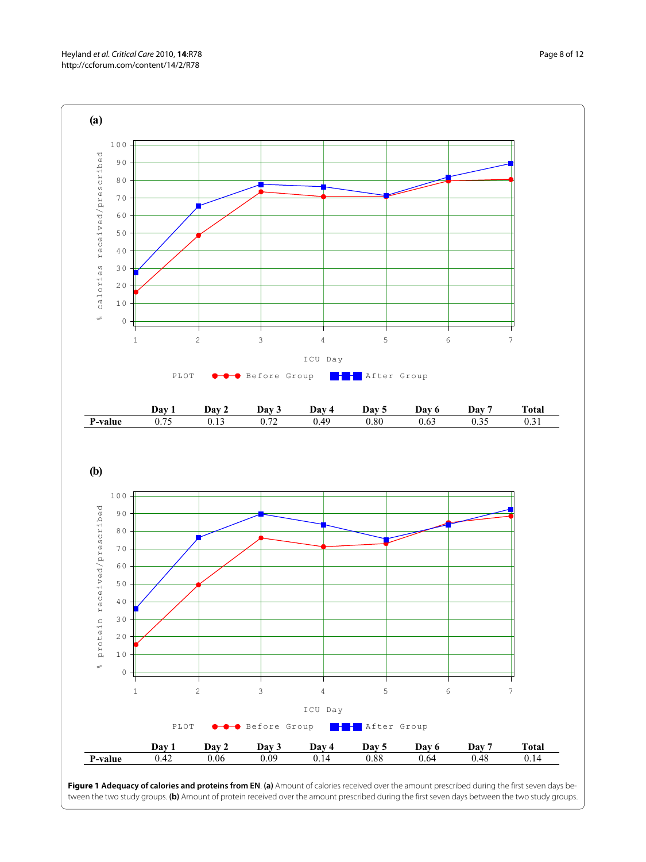<span id="page-7-0"></span>

**Figure 1 Adequacy of calories and proteins from EN**. **(a)** Amount of calories received over the amount prescribed during the first seven days between the two study groups. **(b)** Amount of protein received over the amount prescribed during the first seven days between the two study groups.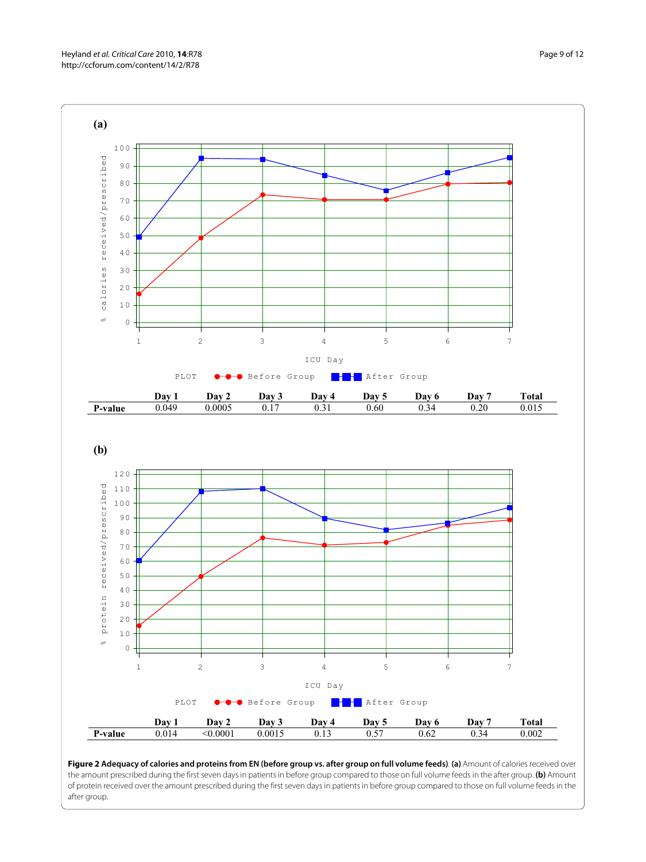<span id="page-8-0"></span>

**Figure 2 Adequacy of calories and proteins from EN (before group vs. after group on full volume feeds)**. **(a)** Amount of calories received over the amount prescribed during the first seven days in patients in before group compared to those on full volume feeds in the after group. **(b)** Amount of protein received over the amount prescribed during the first seven days in patients in before group compared to those on full volume feeds in the after group.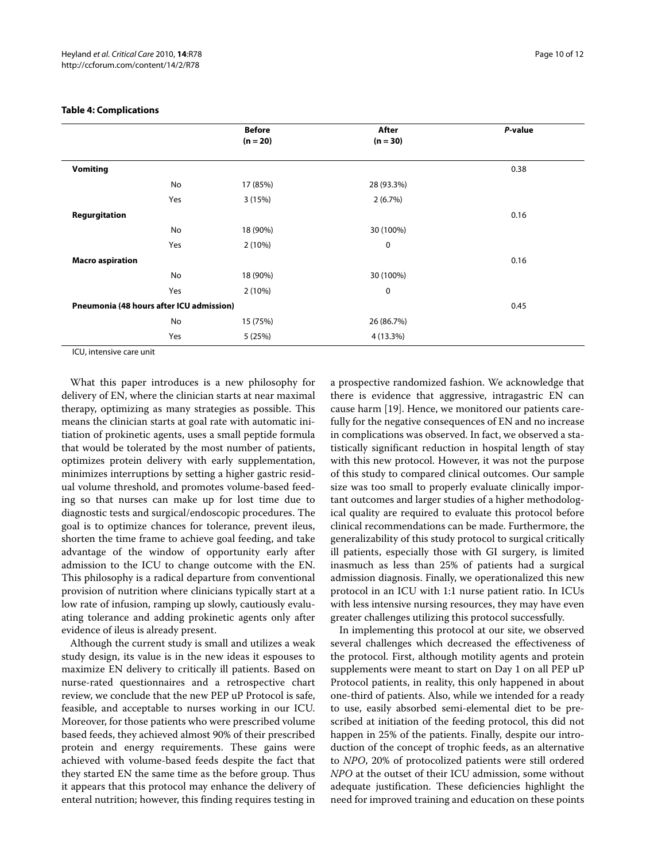# <span id="page-9-0"></span>**Table 4: Complications**

|                                                         |     | <b>Before</b> | After       | P-value |
|---------------------------------------------------------|-----|---------------|-------------|---------|
|                                                         |     | $(n = 20)$    | $(n = 30)$  |         |
|                                                         |     |               |             |         |
| <b>Vomiting</b>                                         |     |               |             | 0.38    |
|                                                         | No  | 17 (85%)      | 28 (93.3%)  |         |
|                                                         | Yes | 3(15%)        | 2(6.7%)     |         |
| Regurgitation                                           |     |               |             | 0.16    |
|                                                         | No  | 18 (90%)      | 30 (100%)   |         |
|                                                         | Yes | 2(10%)        | 0           |         |
| <b>Macro aspiration</b>                                 |     |               |             | 0.16    |
|                                                         | No  | 18 (90%)      | 30 (100%)   |         |
|                                                         | Yes | 2(10%)        | $\mathbf 0$ |         |
| Pneumonia (48 hours after ICU admission)                |     |               |             | 0.45    |
|                                                         | No  | 15 (75%)      | 26 (86.7%)  |         |
|                                                         | Yes | 5(25%)        | 4 (13.3%)   |         |
| $\sim$ $\sim$ $\sim$ $\sim$ $\sim$ $\sim$ $\sim$ $\sim$ |     |               |             |         |

ICU, intensive care unit

What this paper introduces is a new philosophy for delivery of EN, where the clinician starts at near maximal therapy, optimizing as many strategies as possible. This means the clinician starts at goal rate with automatic initiation of prokinetic agents, uses a small peptide formula that would be tolerated by the most number of patients, optimizes protein delivery with early supplementation, minimizes interruptions by setting a higher gastric residual volume threshold, and promotes volume-based feeding so that nurses can make up for lost time due to diagnostic tests and surgical/endoscopic procedures. The goal is to optimize chances for tolerance, prevent ileus, shorten the time frame to achieve goal feeding, and take advantage of the window of opportunity early after admission to the ICU to change outcome with the EN. This philosophy is a radical departure from conventional provision of nutrition where clinicians typically start at a low rate of infusion, ramping up slowly, cautiously evaluating tolerance and adding prokinetic agents only after evidence of ileus is already present.

Although the current study is small and utilizes a weak study design, its value is in the new ideas it espouses to maximize EN delivery to critically ill patients. Based on nurse-rated questionnaires and a retrospective chart review, we conclude that the new PEP uP Protocol is safe, feasible, and acceptable to nurses working in our ICU. Moreover, for those patients who were prescribed volume based feeds, they achieved almost 90% of their prescribed protein and energy requirements. These gains were achieved with volume-based feeds despite the fact that they started EN the same time as the before group. Thus it appears that this protocol may enhance the delivery of enteral nutrition; however, this finding requires testing in

a prospective randomized fashion. We acknowledge that there is evidence that aggressive, intragastric EN can cause harm [\[19](#page-11-14)]. Hence, we monitored our patients carefully for the negative consequences of EN and no increase in complications was observed. In fact, we observed a statistically significant reduction in hospital length of stay with this new protocol. However, it was not the purpose of this study to compared clinical outcomes. Our sample size was too small to properly evaluate clinically important outcomes and larger studies of a higher methodological quality are required to evaluate this protocol before clinical recommendations can be made. Furthermore, the generalizability of this study protocol to surgical critically ill patients, especially those with GI surgery, is limited inasmuch as less than 25% of patients had a surgical admission diagnosis. Finally, we operationalized this new protocol in an ICU with 1:1 nurse patient ratio. In ICUs with less intensive nursing resources, they may have even greater challenges utilizing this protocol successfully.

In implementing this protocol at our site, we observed several challenges which decreased the effectiveness of the protocol. First, although motility agents and protein supplements were meant to start on Day 1 on all PEP uP Protocol patients, in reality, this only happened in about one-third of patients. Also, while we intended for a ready to use, easily absorbed semi-elemental diet to be prescribed at initiation of the feeding protocol, this did not happen in 25% of the patients. Finally, despite our introduction of the concept of trophic feeds, as an alternative to *NPO*, 20% of protocolized patients were still ordered *NPO* at the outset of their ICU admission, some without adequate justification. These deficiencies highlight the need for improved training and education on these points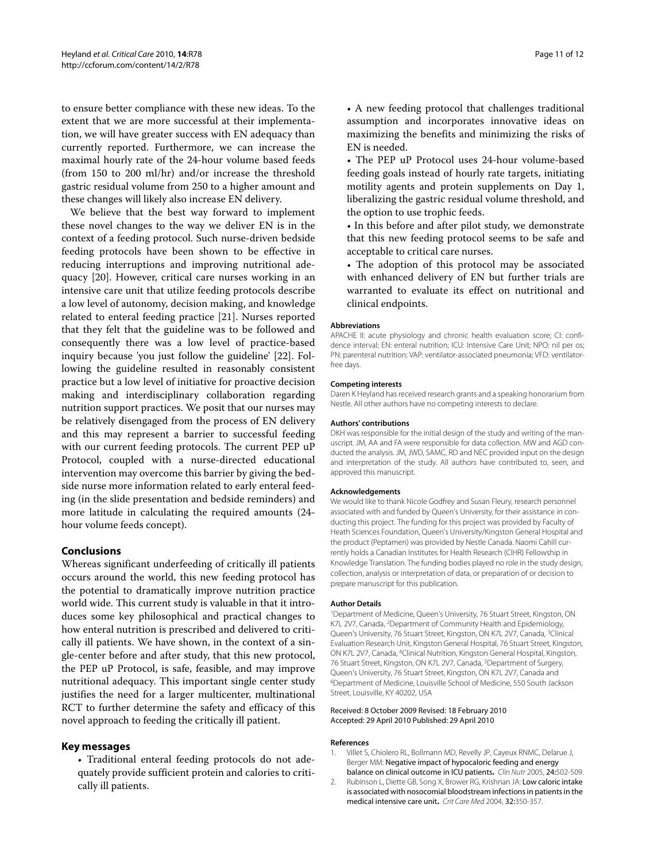to ensure better compliance with these new ideas. To the extent that we are more successful at their implementation, we will have greater success with EN adequacy than currently reported. Furthermore, we can increase the maximal hourly rate of the 24-hour volume based feeds (from 150 to 200 ml/hr) and/or increase the threshold gastric residual volume from 250 to a higher amount and these changes will likely also increase EN delivery.

We believe that the best way forward to implement these novel changes to the way we deliver EN is in the context of a feeding protocol. Such nurse-driven bedside feeding protocols have been shown to be effective in reducing interruptions and improving nutritional adequacy [[20\]](#page-11-15). However, critical care nurses working in an intensive care unit that utilize feeding protocols describe a low level of autonomy, decision making, and knowledge related to enteral feeding practice [\[21\]](#page-11-16). Nurses reported that they felt that the guideline was to be followed and consequently there was a low level of practice-based inquiry because 'you just follow the guideline' [[22](#page-11-17)]. Following the guideline resulted in reasonably consistent practice but a low level of initiative for proactive decision making and interdisciplinary collaboration regarding nutrition support practices. We posit that our nurses may be relatively disengaged from the process of EN delivery and this may represent a barrier to successful feeding with our current feeding protocols. The current PEP uP Protocol, coupled with a nurse-directed educational intervention may overcome this barrier by giving the bedside nurse more information related to early enteral feeding (in the slide presentation and bedside reminders) and more latitude in calculating the required amounts (24 hour volume feeds concept).

# **Conclusions**

Whereas significant underfeeding of critically ill patients occurs around the world, this new feeding protocol has the potential to dramatically improve nutrition practice world wide. This current study is valuable in that it introduces some key philosophical and practical changes to how enteral nutrition is prescribed and delivered to critically ill patients. We have shown, in the context of a single-center before and after study, that this new protocol, the PEP uP Protocol, is safe, feasible, and may improve nutritional adequacy. This important single center study justifies the need for a larger multicenter, multinational RCT to further determine the safety and efficacy of this novel approach to feeding the critically ill patient.

# **Key messages**

• Traditional enteral feeding protocols do not adequately provide sufficient protein and calories to critically ill patients.

• A new feeding protocol that challenges traditional assumption and incorporates innovative ideas on maximizing the benefits and minimizing the risks of EN is needed.

• The PEP uP Protocol uses 24-hour volume-based feeding goals instead of hourly rate targets, initiating motility agents and protein supplements on Day 1, liberalizing the gastric residual volume threshold, and the option to use trophic feeds.

• In this before and after pilot study, we demonstrate that this new feeding protocol seems to be safe and acceptable to critical care nurses.

• The adoption of this protocol may be associated with enhanced delivery of EN but further trials are warranted to evaluate its effect on nutritional and clinical endpoints.

#### **Abbreviations**

APACHE II: acute physiology and chronic health evaluation score; CI: confidence interval; EN: enteral nutrition; ICU: Intensive Care Unit; NPO: nil per os; PN: parenteral nutrition; VAP: ventilator-associated pneumonia; VFD: ventilatorfree days.

#### **Competing interests**

Daren K Heyland has received research grants and a speaking honorarium from Nestle. All other authors have no competing interests to declare.

#### **Authors' contributions**

DKH was responsible for the initial design of the study and writing of the manuscript. JM, AA and FA were responsible for data collection. MW and AGD conducted the analysis. JM, JWD, SAMC, RD and NEC provided input on the design and interpretation of the study. All authors have contributed to, seen, and approved this manuscript.

#### **Acknowledgements**

We would like to thank Nicole Godfrey and Susan Fleury, research personnel associated with and funded by Queen's University, for their assistance in conducting this project. The funding for this project was provided by Faculty of Heath Sciences Foundation, Queen's University/Kingston General Hospital and the product (Peptamen) was provided by Nestle Canada. Naomi Cahill currently holds a Canadian Institutes for Health Research (CIHR) Fellowship in Knowledge Translation. The funding bodies played no role in the study design, collection, analysis or interpretation of data, or preparation of or decision to prepare manuscript for this publication.

#### **Author Details**

1Department of Medicine, Queen's University, 76 Stuart Street, Kingston, ON K7L 2V7, Canada, 2Department of Community Health and Epidemiology, Queen's University, 76 Stuart Street, Kingston, ON K7L 2V7, Canada, 3Clinical Evaluation Research Unit, Kingston General Hospital, 76 Stuart Street, Kingston, ON K7L 2V7, Canada, 4Clinical Nutrition, Kingston General Hospital, Kingston, 76 Stuart Street, Kingston, ON K7L 2V7, Canada, 5Department of Surgery,<br>Queen's University, 76 Stuart Street, Kingston, ON K7L 2V7, Canada and <sup>6</sup>Department of Medicine, Louisville School of Medicine, 550 South Jackson Street, Louisville, KY 40202, USA

#### Received: 8 October 2009 Revised: 18 February 2010 Accepted: 29 April 2010 Published: 29 April 2010

#### **References**

- <span id="page-10-0"></span>Villet S, Chiolero RL, Bollmann MD, Revelly JP, Cayeux RNMC, Delarue J, Berger MM: Negative impact of hypocaloric feeding and energy balance on clinical outcome in ICU patients. Clin Nutr 2005, 24:502-509.
- 2. Rubinson L, Diette GB, Song X, Brower RG, Krishnan JA: Low caloric intake is associated with nosocomial bloodstream infections in patients in the medical intensive care unit**.** Crit Care Med 2004, 32:350-357.